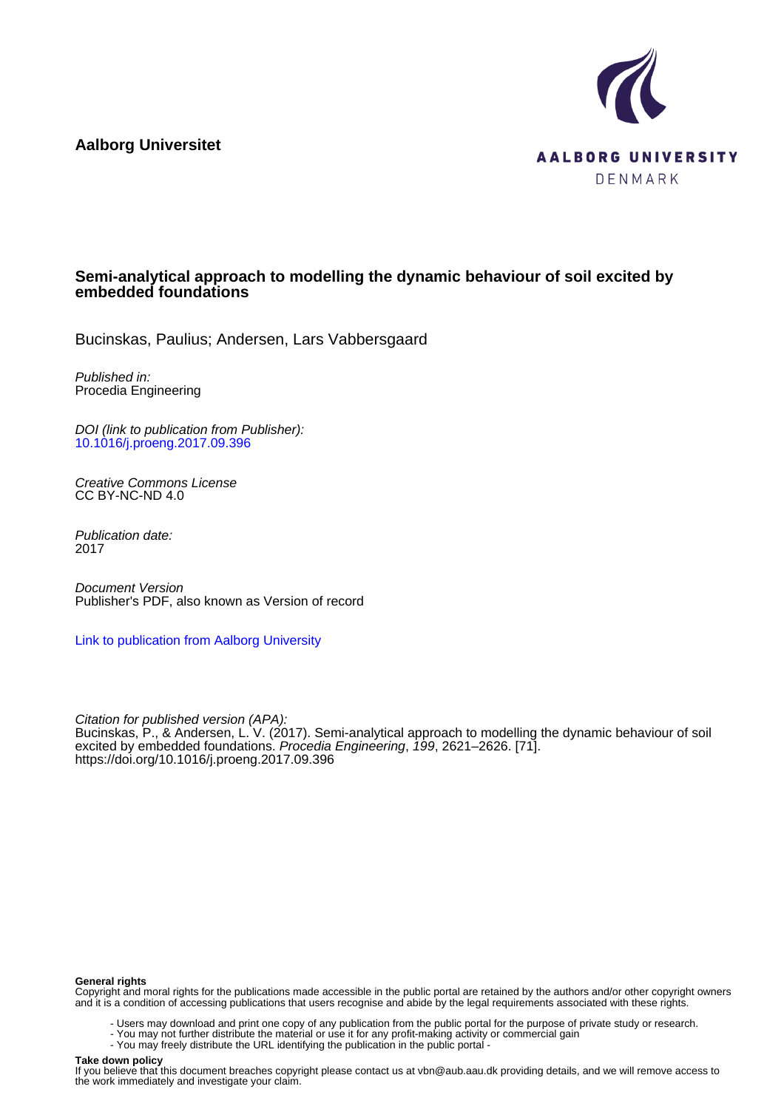**Aalborg Universitet**



# **Semi-analytical approach to modelling the dynamic behaviour of soil excited by embedded foundations**

Bucinskas, Paulius; Andersen, Lars Vabbersgaard

Published in: Procedia Engineering

DOI (link to publication from Publisher): [10.1016/j.proeng.2017.09.396](https://doi.org/10.1016/j.proeng.2017.09.396)

Creative Commons License CC BY-NC-ND 4.0

Publication date: 2017

Document Version Publisher's PDF, also known as Version of record

[Link to publication from Aalborg University](https://vbn.aau.dk/en/publications/3534d888-1a44-450a-a0ec-0112ee9e1bfc)

Citation for published version (APA): Bucinskas, P., & Andersen, L. V. (2017). Semi-analytical approach to modelling the dynamic behaviour of soil excited by embedded foundations. Procedia Engineering, 199, 2621–2626. [71]. <https://doi.org/10.1016/j.proeng.2017.09.396>

#### **General rights**

Copyright and moral rights for the publications made accessible in the public portal are retained by the authors and/or other copyright owners and it is a condition of accessing publications that users recognise and abide by the legal requirements associated with these rights.

- Users may download and print one copy of any publication from the public portal for the purpose of private study or research.
- You may not further distribute the material or use it for any profit-making activity or commercial gain
- You may freely distribute the URL identifying the publication in the public portal -

#### **Take down policy**

If you believe that this document breaches copyright please contact us at vbn@aub.aau.dk providing details, and we will remove access to the work immediately and investigate your claim.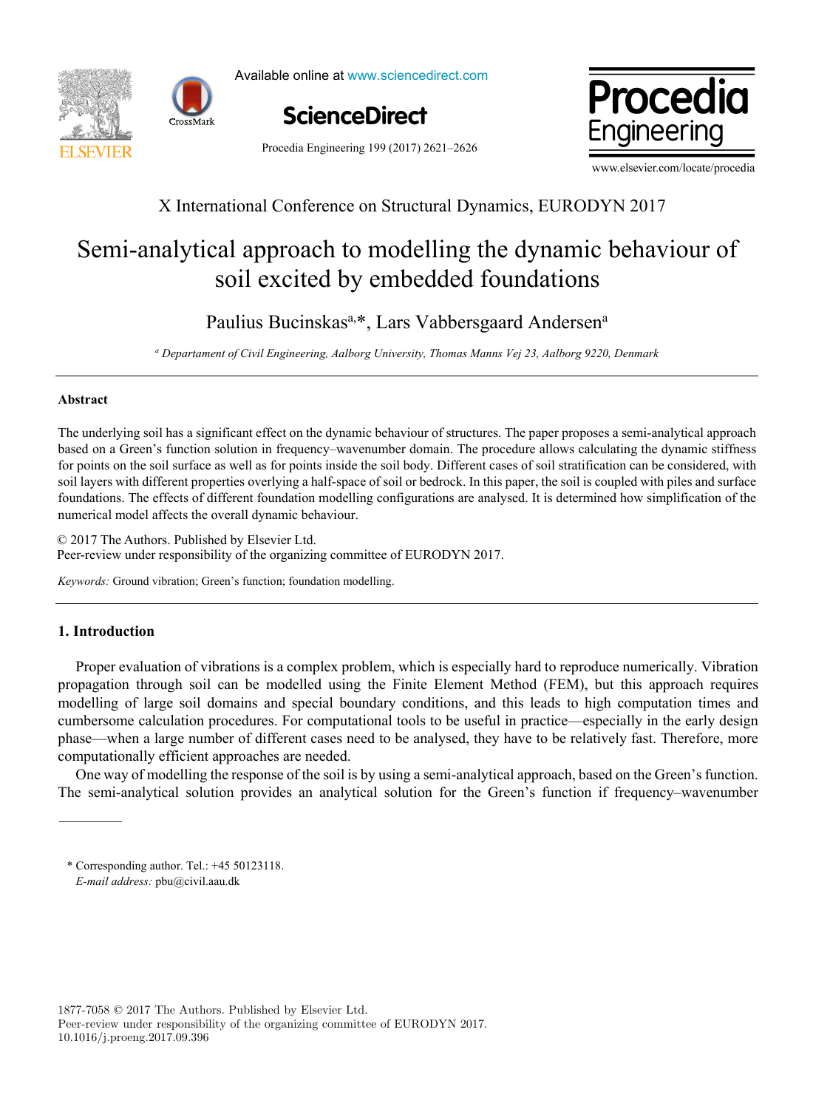



Available online at www.sciencedirect.com





Procedia Engineering 199 (2017) 2621–2626

www.elsevier.com/locate/procedia

# X International Conference on Structural Dynamics, EURODYN 2017 X International Conference on Structural Dynamics, EURODYN 2017

# Semi-analytical approach to modelling the dynamic behaviour of Semi-analytical approach to modelling the dynamic behaviour of soil excited by embedded foundations soil excited by embedded foundations

Paulius Bucinskas<sup>a,\*</sup>, Lars Vabbersgaard Andersen<sup>a</sup>

a Departament of Civil Engineering, Aalborg University, Thomas Manns Vej 23, Aalborg 9220, Denmark

# **Abstract Abstract**

The underlying soil has a significant effect on the dynamic behaviour of structures. The paper proposes a semi-analytical approach based on a Green's function solution in frequency-wavenumber domain. The procedure allows calculating the dynamic stiffness for points on the soil surface as well as for points inside the soil body. Different cases of soil stratification can be considered, with soil layers with different properties overlying a half-space of soil or bedrock. In this paper, the soil is coupled with piles and surface foundations. The effects of different foundation modelling configurations are analysed. It is determined how simplification of the numerical model affects the overall dynamic behaviour. numerical model affects the overall dynamic behaviour.

© 2017 The Authors. Published by Elsevier Ltd. © 2017 The Authors. Published by Elsevier Ltd. © 2017 The Authors. Published by Elsevier Ltd. Peer-review under responsibility of the organizing committee of EURODYN 2017.

*Keywords:* Ground vibration; Green's function; foundation modelling. *Keywords:* Ground vibration; Green's function; foundation modelling.

# **1. Introduction 1. Introduction**

Proper evaluation of vibrations is a complex problem, which is especially hard to reproduce numerically. Vibration propagation through soil can be modelled using the Finite Element Method (FEM), but this approach requires propagation through soil can be modelled using the Finite Element Method (FEM), but this approach requires modelling of large soil domains and special boundary conditions, and this leads to high computation times and modelling of large soil domains and special boundary conditions, and this leads to high computation times and cumbersome calculation procedures. For computational tools to be useful in practice—especially in the early design phase—when a large number of different cases need to be analysed, they have to be relatively fast. Therefore, more computationally efficient approaches are needed. computationally efficient approaches are needed.

One way of modelling the response of the soil is by using a semi-analytical approach, based on the Green's function. The semi-analytical solution provides an analytical solution for the Green's function if frequency–wavenumber The semi-analytical solution provides an analytical solution for the Green's function if frequency–wavenumber

<sup>\*</sup> Corresponding author. Tel.: +45 50123118. \* Corresponding author. Tel.: +45 50123118.  *E-mail address:* pbu@civil.aau.dk  *E-mail address:* pbu@civil.aau.dk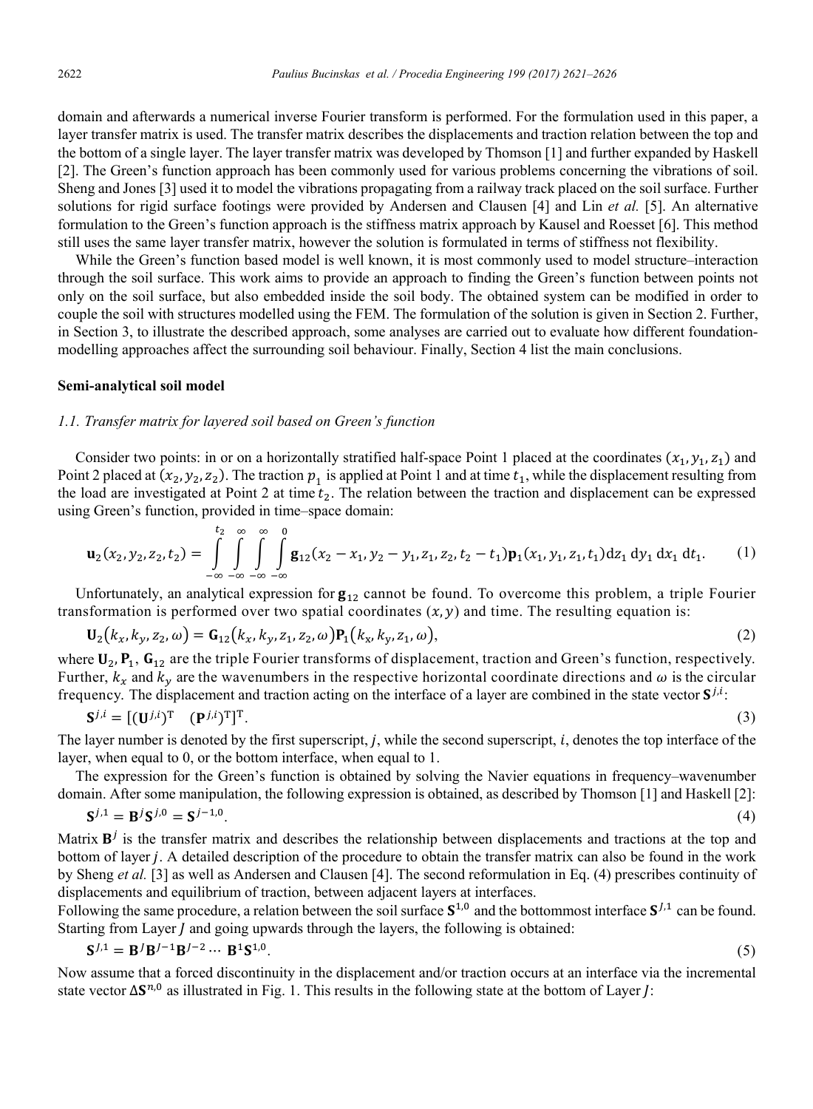domain and afterwards a numerical inverse Fourier transform is performed. For the formulation used in this paper, a layer transfer matrix is used. The transfer matrix describes the displacements and traction relation between the top and the bottom of a single layer. The layer transfer matrix was developed by Thomson [1] and further expanded by Haskell [2]. The Green's function approach has been commonly used for various problems concerning the vibrations of soil. Sheng and Jones [3] used it to model the vibrations propagating from a railway track placed on the soil surface. Further solutions for rigid surface footings were provided by Andersen and Clausen [4] and Lin et al. [5]. An alternative formulation to the Green's function approach is the stiffness matrix approach by Kausel and Roesset [6]. This method still uses the same layer transfer matrix, however the solution is formulated in terms of stiffness not flexibility.

While the Green's function based model is well known, it is most commonly used to model structure–interaction through the soil surface. This work aims to provide an approach to finding the Green's function between points not only on the soil surface, but also embedded inside the soil body. The obtained system can be modified in order to couple the soil with structures modelled using the FEM. The formulation of the solution is given in Section 2. Further, in Section 3, to illustrate the described approach, some analyses are carried out to evaluate how different foundationmodelling approaches affect the surrounding soil behaviour. Finally, Section 4 list the main conclusions.

#### Semi-analytical soil model

## 1.1. Transfer matrix for layered soil based on Green's function

Consider two points: in or on a horizontally stratified half-space Point 1 placed at the coordinates  $(x_1, y_1, z_1)$  and Point 2 placed at  $(x_2, y_2, z_2)$ . The traction  $p_1$  is applied at Point 1 and at time  $t_1$ , while the displacement resulting from the load are investigated at Point 2 at time  $t_2$ . The relation between the traction and displacement can be expressed using Green's function, provided in time-space domain:

$$
\mathbf{u}_2(x_2, y_2, z_2, t_2) = \int_{-\infty}^{t_2} \int_{-\infty}^{\infty} \int_{-\infty}^{\infty} \int_{-\infty}^{\infty} \mathbf{g}_{12}(x_2 - x_1, y_2 - y_1, z_1, z_2, t_2 - t_1) \mathbf{p}_1(x_1, y_1, z_1, t_1) dz_1 dy_1 dx_1 dt_1.
$$
 (1)

Unfortunately, an analytical expression for  $g_{12}$  cannot be found. To overcome this problem, a triple Fourier transformation is performed over two spatial coordinates  $(x, y)$  and time. The resulting equation is:

$$
\mathbf{U}_2(k_x, k_y, z_2, \omega) = \mathbf{G}_{12}(k_x, k_y, z_1, z_2, \omega) \mathbf{P}_1(k_x, k_y, z_1, \omega),
$$
\n(2)

where  $U_2$ ,  $P_1$ ,  $G_{12}$  are the triple Fourier transforms of displacement, traction and Green's function, respectively. Further,  $k_x$  and  $k_y$  are the wavenumbers in the respective horizontal coordinate directions and  $\omega$  is the circular frequency. The displacement and traction acting on the interface of a layer are combined in the state vector  $S^{j,i}$ .

$$
\mathbf{S}^{j,i} = [(\mathbf{U}^{j,i})^{\mathrm{T}} \quad (\mathbf{P}^{j,i})^{\mathrm{T}}]^{\mathrm{T}}.
$$

The layer number is denoted by the first superscript,  $j$ , while the second superscript,  $i$ , denotes the top interface of the layer, when equal to 0, or the bottom interface, when equal to 1.

The expression for the Green's function is obtained by solving the Navier equations in frequency–wavenumber domain. After some manipulation, the following expression is obtained, as described by Thomson [1] and Haskell [2]:

$$
S^{j,1} = B^j S^{j,0} = S^{j-1,0}.
$$
 (4)

Matrix  $B^j$  is the transfer matrix and describes the relationship between displacements and tractions at the top and bottom of layer j. A detailed description of the procedure to obtain the transfer matrix can also be found in the work by Sheng et al. [3] as well as Andersen and Clausen [4]. The second reformulation in Eq. (4) prescribes continuity of displacements and equilibrium of traction, between adjacent layers at interfaces.

Following the same procedure, a relation between the soil surface  $S^{1,0}$  and the bottommost interface  $S^{1,1}$  can be found. Starting from Layer J and going upwards through the layers, the following is obtained:

$$
S^{J,1} = B^{J}B^{J-1}B^{J-2} \cdots B^{1}S^{1,0}.
$$
 (5)

Now assume that a forced discontinuity in the displacement and/or traction occurs at an interface via the incremental state vector  $\Delta S^{n,0}$  as illustrated in Fig. 1. This results in the following state at the bottom of Layer *I*: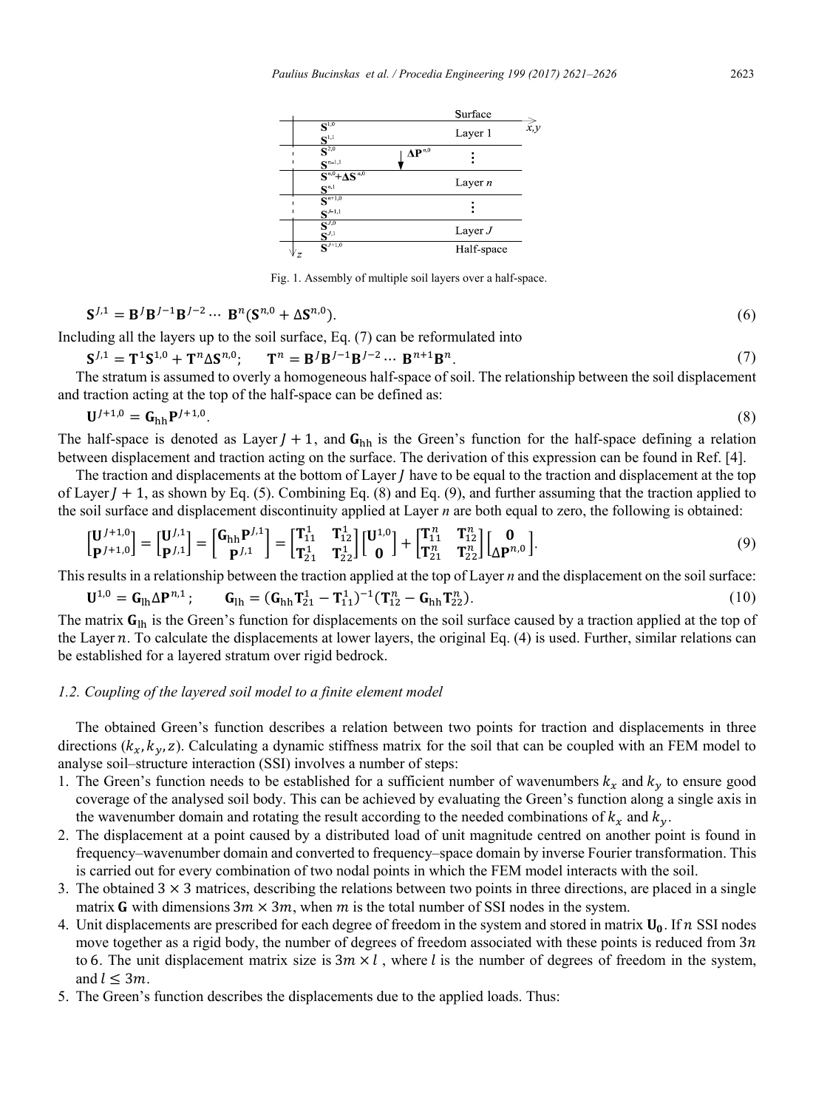

Fig. 1. Assembly of multiple soil layers over a half-space.

$$
\mathbf{S}^{J,1} = \mathbf{B}^J \mathbf{B}^{J-1} \mathbf{B}^{J-2} \cdots \mathbf{B}^n (\mathbf{S}^{n,0} + \Delta \mathbf{S}^{n,0}).
$$
\n
$$
\tag{6}
$$

Including all the layers up to the soil surface, Eq. (7) can be reformulated into

$$
S^{J,1} = T^1 S^{1,0} + T^n \Delta S^{n,0}; \qquad T^n = B^J B^{J-1} B^{J-2} \cdots B^{n+1} B^n. \tag{7}
$$

The stratum is assumed to overly a homogeneous half-space of soil. The relationship between the soil displacement and traction acting at the top of the half-space can be defined as:

$$
\mathbf{U}^{J+1,0} = \mathbf{G}_{\mathbf{h}\mathbf{h}} \mathbf{P}^{J+1,0}.\tag{8}
$$

The half-space is denoted as Layer  $J + 1$ , and  $G<sub>hh</sub>$  is the Green's function for the half-space defining a relation between displacement and traction acting on the surface. The derivation of this expression can be found in Ref. [4].

The traction and displacements at the bottom of Layer  *have to be equal to the traction and displacement at the top* of Layer  $J + 1$ , as shown by Eq. (5). Combining Eq. (8) and Eq. (9), and further assuming that the traction applied to the soil surface and displacement discontinuity applied at Layer n are both equal to zero, the following is obtained:

$$
\begin{bmatrix} \mathbf{U}^{J+1,0} \\ \mathbf{P}^{J+1,0} \end{bmatrix} = \begin{bmatrix} \mathbf{U}^{J,1} \\ \mathbf{P}^{J,1} \end{bmatrix} = \begin{bmatrix} \mathbf{T}_{11}^{1} & \mathbf{T}_{12}^{1} \\ \mathbf{T}_{21}^{1} & \mathbf{T}_{22}^{1} \end{bmatrix} \begin{bmatrix} \mathbf{U}^{1,0} \\ \mathbf{0} \end{bmatrix} + \begin{bmatrix} \mathbf{T}_{11}^{n} & \mathbf{T}_{12}^{n} \\ \mathbf{T}_{21}^{n} & \mathbf{T}_{22}^{n} \end{bmatrix} \begin{bmatrix} \mathbf{0} \\ \Delta \mathbf{P}^{n,0} \end{bmatrix}.
$$
 (9)

This results in a relationship between the traction applied at the top of Layer  $n$  and the displacement on the soil surface:

$$
\mathbf{U}^{1,0} = \mathbf{G}_{\text{lh}} \Delta \mathbf{P}^{n,1}; \qquad \mathbf{G}_{\text{lh}} = (\mathbf{G}_{\text{hh}} \mathbf{T}_{21}^1 - \mathbf{T}_{11}^1)^{-1} (\mathbf{T}_{12}^n - \mathbf{G}_{\text{hh}} \mathbf{T}_{22}^n). \tag{10}
$$

The matrix  $G_{lh}$  is the Green's function for displacements on the soil surface caused by a traction applied at the top of the Layer  $n$ . To calculate the displacements at lower layers, the original Eq.  $(4)$  is used. Further, similar relations can be established for a layered stratum over rigid bedrock.

## 1.2. Coupling of the layered soil model to a finite element model

The obtained Green's function describes a relation between two points for traction and displacements in three directions  $(k_x, k_y, z)$ . Calculating a dynamic stiffness matrix for the soil that can be coupled with an FEM model to analyse soil-structure interaction (SSI) involves a number of steps:

- 1. The Green's function needs to be established for a sufficient number of wavenumbers  $k_x$  and  $k_y$  to ensure good coverage of the analysed soil body. This can be achieved by evaluating the Green's function along a single axis in the wavenumber domain and rotating the result according to the needed combinations of  $k_x$  and  $k_y$ .
- 2. The displacement at a point caused by a distributed load of unit magnitude centred on another point is found in frequency–wavenumber domain and converted to frequency–space domain by inverse Fourier transformation. This is carried out for every combination of two nodal points in which the FEM model interacts with the soil.
- 3. The obtained  $3 \times 3$  matrices, describing the relations between two points in three directions, are placed in a single matrix G with dimensions  $3m \times 3m$ , when m is the total number of SSI nodes in the system.
- 4. Unit displacements are prescribed for each degree of freedom in the system and stored in matrix  $U_0$ . If n SSI nodes move together as a rigid body, the number of degrees of freedom associated with these points is reduced from  $3n$ to 6. The unit displacement matrix size is  $3m \times l$ , where l is the number of degrees of freedom in the system, and  $l \leq 3m$ .
- 5. The Green's function describes the displacements due to the applied loads. Thus: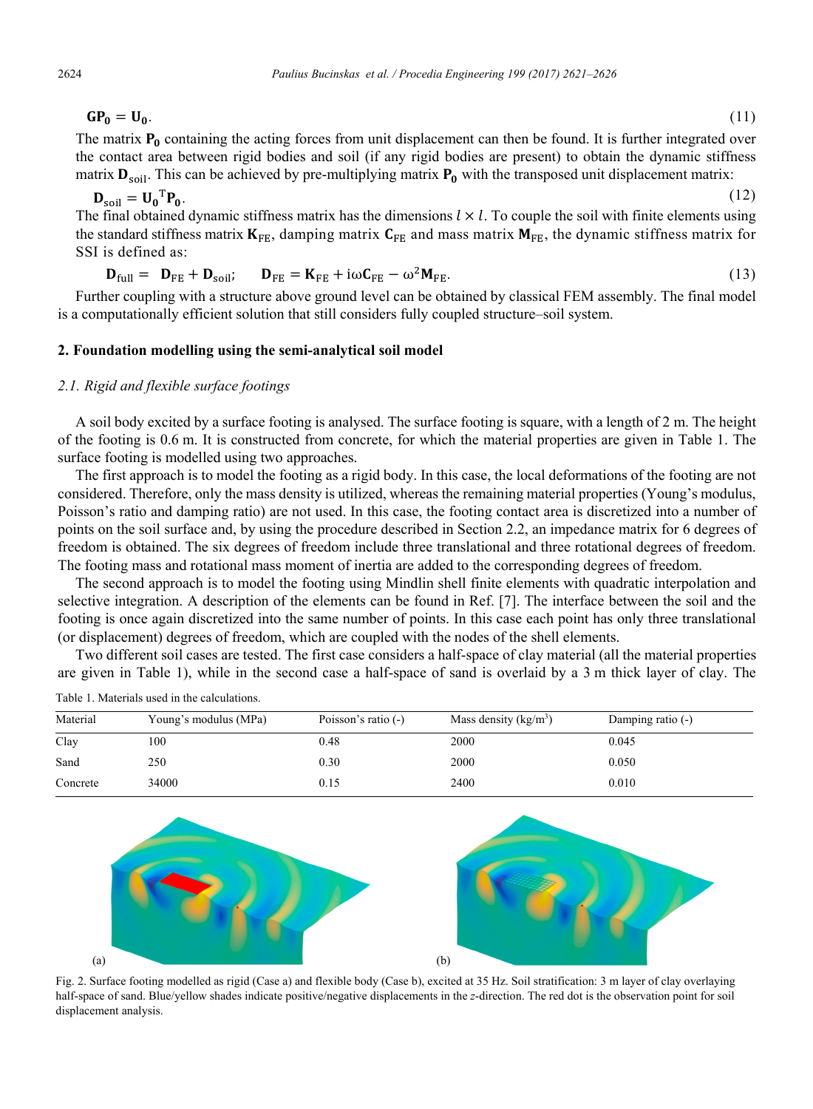$GP_0 = U_0.$  (11)

The matrix  $P_0$  containing the acting forces from unit displacement can then be found. It is further integrated over the contact area between rigid bodies and soil (if any rigid bodies are present) to obtain the dynamic stiffness matrix  $D_{\text{soil}}$ . This can be achieved by pre-multiplying matrix  $P_0$  with the transposed unit displacement matrix:

$$
\mathbf{D}_{\text{soil}} = \mathbf{U_0}^{\text{T}} \mathbf{P_0}.
$$
 (12)

The final obtained dynamic stiffness matrix has the dimensions  $l \times l$ . To couple the soil with finite elements using the standard stiffness matrix  $K_{FE}$ , damping matrix  $C_{FE}$  and mass matrix  $M_{FE}$ , the dynamic stiffness matrix for SSI is defined as:

$$
\mathbf{D}_{\text{full}} = \mathbf{D}_{\text{FE}} + \mathbf{D}_{\text{soil}}; \qquad \mathbf{D}_{\text{FE}} = \mathbf{K}_{\text{FE}} + i\omega \mathbf{C}_{\text{FE}} - \omega^2 \mathbf{M}_{\text{FE}}.
$$
 (13)

Further coupling with a structure above ground level can be obtained by classical FEM assembly. The final model is a computationally efficient solution that still considers fully coupled structure–soil system.

## **2. Foundation modelling using the semi-analytical soil model**

# *2.1. Rigid and flexible surface footings*

A soil body excited by a surface footing is analysed. The surface footing is square, with a length of 2 m. The height of the footing is 0.6 m. It is constructed from concrete, for which the material properties are given in Table 1. The surface footing is modelled using two approaches.

The first approach is to model the footing as a rigid body. In this case, the local deformations of the footing are not considered. Therefore, only the mass density is utilized, whereas the remaining material properties (Young's modulus, Poisson's ratio and damping ratio) are not used. In this case, the footing contact area is discretized into a number of points on the soil surface and, by using the procedure described in Section 2.2, an impedance matrix for 6 degrees of freedom is obtained. The six degrees of freedom include three translational and three rotational degrees of freedom. The footing mass and rotational mass moment of inertia are added to the corresponding degrees of freedom.

The second approach is to model the footing using Mindlin shell finite elements with quadratic interpolation and selective integration. A description of the elements can be found in Ref. [7]. The interface between the soil and the footing is once again discretized into the same number of points. In this case each point has only three translational (or displacement) degrees of freedom, which are coupled with the nodes of the shell elements.

Two different soil cases are tested. The first case considers a half-space of clay material (all the material properties are given in Table 1), while in the second case a half-space of sand is overlaid by a 3 m thick layer of clay. The

| Material | Young's modulus (MPa) | Poisson's ratio $(-)$ | Mass density $(kg/m3)$ | Damping ratio (-) |
|----------|-----------------------|-----------------------|------------------------|-------------------|
| Clay     | 100                   | 0.48                  | 2000                   | 0.045             |
| Sand     | 250                   | 0.30                  | 2000                   | 0.050             |
| Concrete | 34000                 | 0.15                  | 2400                   | 0.010             |





Fig. 2. Surface footing modelled as rigid (Case a) and flexible body (Case b), excited at 35 Hz. Soil stratification: 3 m layer of clay overlaying half-space of sand. Blue/yellow shades indicate positive/negative displacements in the *z*-direction. The red dot is the observation point for soil displacement analysis.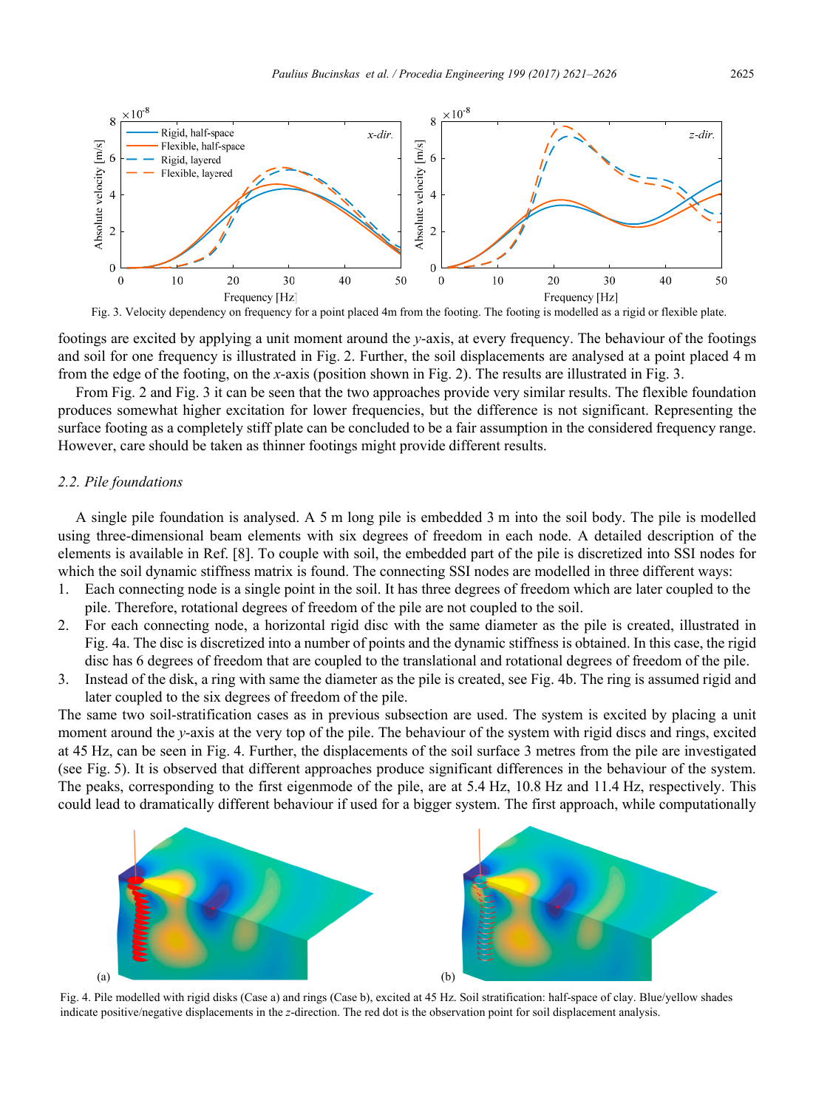



footings are excited by applying a unit moment around the *y*-axis, at every frequency. The behaviour of the footings and soil for one frequency is illustrated in Fig. 2. Further, the soil displacements are analysed at a point placed 4 m from the edge of the footing, on the *x*-axis (position shown in Fig. 2). The results are illustrated in Fig. 3.

From Fig. 2 and Fig. 3 it can be seen that the two approaches provide very similar results. The flexible foundation produces somewhat higher excitation for lower frequencies, but the difference is not significant. Representing the surface footing as a completely stiff plate can be concluded to be a fair assumption in the considered frequency range. However, care should be taken as thinner footings might provide different results.

#### *2.2. Pile foundations*

A single pile foundation is analysed. A 5 m long pile is embedded 3 m into the soil body. The pile is modelled using three-dimensional beam elements with six degrees of freedom in each node. A detailed description of the elements is available in Ref. [8]. To couple with soil, the embedded part of the pile is discretized into SSI nodes for which the soil dynamic stiffness matrix is found. The connecting SSI nodes are modelled in three different ways:

- 1. Each connecting node is a single point in the soil. It has three degrees of freedom which are later coupled to the pile. Therefore, rotational degrees of freedom of the pile are not coupled to the soil.
- 2. For each connecting node, a horizontal rigid disc with the same diameter as the pile is created, illustrated in Fig. 4a. The disc is discretized into a number of points and the dynamic stiffness is obtained. In this case, the rigid disc has 6 degrees of freedom that are coupled to the translational and rotational degrees of freedom of the pile.
- 3. Instead of the disk, a ring with same the diameter as the pile is created, see Fig. 4b. The ring is assumed rigid and later coupled to the six degrees of freedom of the pile.

The same two soil-stratification cases as in previous subsection are used. The system is excited by placing a unit moment around the *y*-axis at the very top of the pile. The behaviour of the system with rigid discs and rings, excited at 45 Hz, can be seen in Fig. 4. Further, the displacements of the soil surface 3 metres from the pile are investigated (see Fig. 5). It is observed that different approaches produce significant differences in the behaviour of the system. The peaks, corresponding to the first eigenmode of the pile, are at 5.4 Hz, 10.8 Hz and 11.4 Hz, respectively. This could lead to dramatically different behaviour if used for a bigger system. The first approach, while computationally



Fig. 4. Pile modelled with rigid disks (Case a) and rings (Case b), excited at 45 Hz. Soil stratification: half-space of clay. Blue/yellow shades indicate positive/negative displacements in the *z*-direction. The red dot is the observation point for soil displacement analysis.